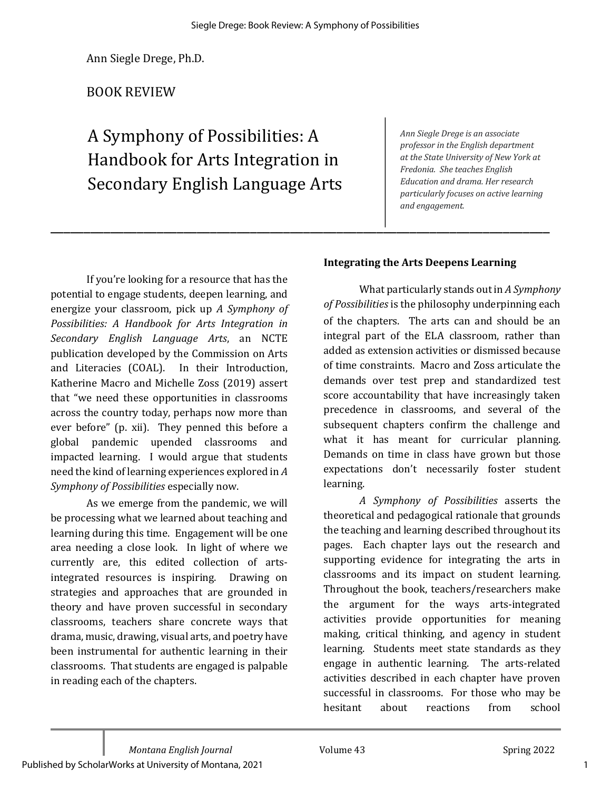\_\_\_\_\_\_\_\_\_\_\_\_\_\_\_\_\_\_\_\_\_\_\_\_\_\_\_\_\_\_\_\_\_\_\_\_\_\_\_\_\_\_\_\_\_\_\_\_\_\_\_\_\_\_\_\_\_\_\_\_\_\_\_\_\_\_\_\_\_\_\_\_\_\_\_

Ann Siegle Drege, Ph.D.

# BOOK REVIEW

A Symphony of Possibilities: A Handbook for Arts Integration in Secondary English Language Arts *Ann Siegle Drege is an associate professor in the English department* at the State University of New York at *Fredonia.* She teaches English *Education and drama. Her research particularly focuses on active learning and engagement.*

If you're looking for a resource that has the potential to engage students, deepen learning, and energize your classroom, pick up *A Symphony of* Possibilities: A Handbook for Arts Integration in *Secondary English Language Arts*, an NCTE publication developed by the Commission on Arts and Literacies (COAL). In their Introduction, Katherine Macro and Michelle Zoss (2019) assert that "we need these opportunities in classrooms across the country today, perhaps now more than ever before" (p. xii). They penned this before a global pandemic upended classrooms and impacted learning. I would argue that students need the kind of learning experiences explored in A *Symphony of Possibilities* especially now. 

As we emerge from the pandemic, we will be processing what we learned about teaching and learning during this time. Engagement will be one area needing a close look. In light of where we currently are, this edited collection of artsintegrated resources is inspiring. Drawing on strategies and approaches that are grounded in theory and have proven successful in secondary classrooms, teachers share concrete ways that drama, music, drawing, visual arts, and poetry have been instrumental for authentic learning in their classrooms. That students are engaged is palpable in reading each of the chapters.

#### **Integrating the Arts Deepens Learning**

What particularly stands out in *A Symphony of Possibilities* is the philosophy underpinning each of the chapters. The arts can and should be an integral part of the ELA classroom, rather than added as extension activities or dismissed because of time constraints. Macro and Zoss articulate the demands over test prep and standardized test score accountability that have increasingly taken precedence in classrooms, and several of the subsequent chapters confirm the challenge and what it has meant for curricular planning. Demands on time in class have grown but those expectations don't necessarily foster student learning. 

*A Symphony of Possibilities* asserts the theoretical and pedagogical rationale that grounds the teaching and learning described throughout its pages. Each chapter lays out the research and supporting evidence for integrating the arts in classrooms and its impact on student learning. Throughout the book, teachers/researchers make the argument for the ways arts-integrated activities provide opportunities for meaning making, critical thinking, and agency in student learning. Students meet state standards as they engage in authentic learning. The arts-related activities described in each chapter have proven successful in classrooms. For those who may be hesitant about reactions from school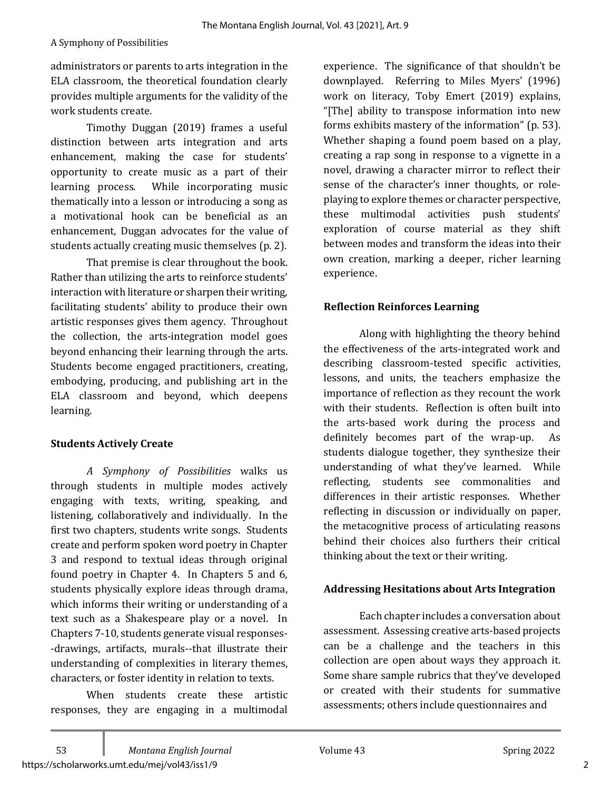administrators or parents to arts integration in the ELA classroom, the theoretical foundation clearly provides multiple arguments for the validity of the work students create.

Timothy Duggan (2019) frames a useful distinction between arts integration and arts enhancement, making the case for students' opportunity to create music as a part of their learning process. While incorporating music thematically into a lesson or introducing a song as a motivational hook can be beneficial as an enhancement, Duggan advocates for the value of students actually creating music themselves (p. 2).

That premise is clear throughout the book. Rather than utilizing the arts to reinforce students' interaction with literature or sharpen their writing, facilitating students' ability to produce their own artistic responses gives them agency. Throughout the collection, the arts-integration model goes beyond enhancing their learning through the arts. Students become engaged practitioners, creating, embodying, producing, and publishing art in the ELA classroom and beyond, which deepens learning.

## **Students Actively Create**

*A Symphony of Possibilities* walks us through students in multiple modes actively engaging with texts, writing, speaking, and listening, collaboratively and individually. In the first two chapters, students write songs. Students create and perform spoken word poetry in Chapter 3 and respond to textual ideas through original found poetry in Chapter 4. In Chapters 5 and 6, students physically explore ideas through drama, which informs their writing or understanding of a text such as a Shakespeare play or a novel. In Chapters 7-10, students generate visual responses--drawings, artifacts, murals--that illustrate their understanding of complexities in literary themes, characters, or foster identity in relation to texts.

When students create these artistic responses, they are engaging in a multimodal experience. The significance of that shouldn't be downplayed. Referring to Miles Myers' (1996) work on literacy, Toby Emert (2019) explains, "[The] ability to transpose information into new forms exhibits mastery of the information" (p. 53). Whether shaping a found poem based on a play, creating a rap song in response to a vignette in a novel, drawing a character mirror to reflect their sense of the character's inner thoughts, or roleplaying to explore themes or character perspective, these multimodal activities push students' exploration of course material as they shift between modes and transform the ideas into their own creation, marking a deeper, richer learning experience. 

## **Reflection Reinforces Learning**

Along with highlighting the theory behind the effectiveness of the arts-integrated work and describing classroom-tested specific activities, lessons, and units, the teachers emphasize the importance of reflection as they recount the work with their students. Reflection is often built into the arts-based work during the process and definitely becomes part of the wrap-up. As students dialogue together, they synthesize their understanding of what they've learned. While reflecting, students see commonalities and differences in their artistic responses. Whether reflecting in discussion or individually on paper, the metacognitive process of articulating reasons behind their choices also furthers their critical thinking about the text or their writing.

## **Addressing Hesitations about Arts Integration**

Each chapter includes a conversation about assessment. Assessing creative arts-based projects can be a challenge and the teachers in this collection are open about ways they approach it. Some share sample rubrics that they've developed or created with their students for summative assessments; others include questionnaires and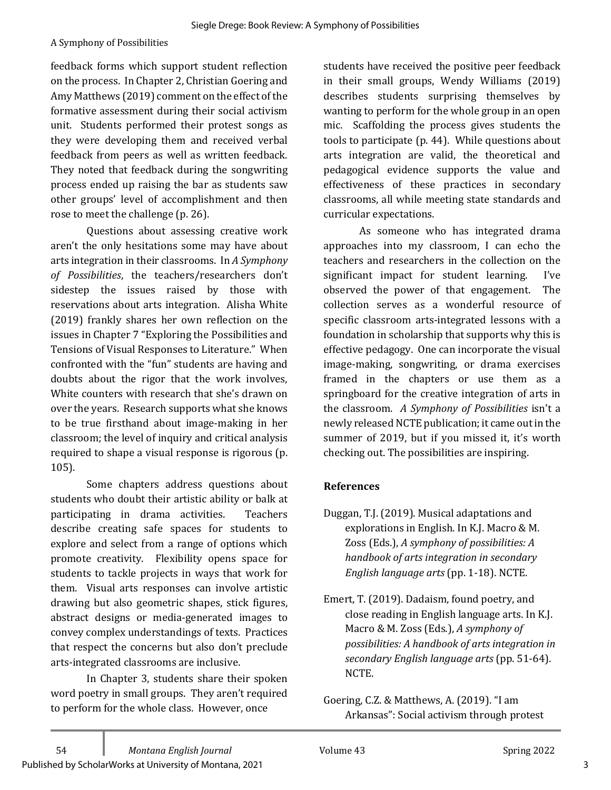#### A Symphony of Possibilities

feedback forms which support student reflection on the process. In Chapter 2, Christian Goering and Amy Matthews (2019) comment on the effect of the formative assessment during their social activism unit. Students performed their protest songs as they were developing them and received verbal feedback from peers as well as written feedback. They noted that feedback during the songwriting process ended up raising the bar as students saw other groups' level of accomplishment and then rose to meet the challenge (p. 26).

Questions about assessing creative work aren't the only hesitations some may have about arts integration in their classrooms. In A Symphony *of Possibilities*, the teachers/researchers don't sidestep the issues raised by those with reservations about arts integration. Alisha White (2019) frankly shares her own reflection on the issues in Chapter 7 "Exploring the Possibilities and Tensions of Visual Responses to Literature." When confronted with the "fun" students are having and doubts about the rigor that the work involves, White counters with research that she's drawn on over the years. Research supports what she knows to be true firsthand about image-making in her classroom; the level of inquiry and critical analysis required to shape a visual response is rigorous (p. 105). 

Some chapters address questions about students who doubt their artistic ability or balk at participating in drama activities. Teachers describe creating safe spaces for students to explore and select from a range of options which promote creativity. Flexibility opens space for students to tackle projects in ways that work for them. Visual arts responses can involve artistic drawing but also geometric shapes, stick figures, abstract designs or media-generated images to convey complex understandings of texts. Practices that respect the concerns but also don't preclude arts-integrated classrooms are inclusive.

In Chapter 3, students share their spoken word poetry in small groups. They aren't required to perform for the whole class. However, once

students have received the positive peer feedback in their small groups, Wendy Williams (2019) describes students surprising themselves by wanting to perform for the whole group in an open mic. Scaffolding the process gives students the tools to participate  $(p. 44)$ . While questions about arts integration are valid, the theoretical and pedagogical evidence supports the value and effectiveness of these practices in secondary classrooms, all while meeting state standards and curricular expectations.

As someone who has integrated drama approaches into my classroom, I can echo the teachers and researchers in the collection on the significant impact for student learning. I've observed the power of that engagement. The collection serves as a wonderful resource of specific classroom arts-integrated lessons with a foundation in scholarship that supports why this is effective pedagogy. One can incorporate the visual image-making, songwriting, or drama exercises framed in the chapters or use them as a springboard for the creative integration of arts in the classroom. A Symphony of Possibilities isn't a newly released NCTE publication; it came out in the summer of 2019, but if you missed it, it's worth checking out. The possibilities are inspiring.

#### **References**

- Duggan, T.J. (2019). Musical adaptations and explorations in English. In K.J. Macro & M. Zoss (Eds.), A symphony of possibilities: A *handbook of arts integration in secondary English language arts* (pp. 1-18). NCTE.
- Emert, T. (2019). Dadaism, found poetry, and close reading in English language arts. In K.J. Macro & M. Zoss (Eds.), A symphony of *possibilities: A handbook of arts integration in secondary English language arts* (pp. 51-64). NCTE.
- Goering, C.Z. & Matthews, A. (2019). "I am Arkansas": Social activism through protest